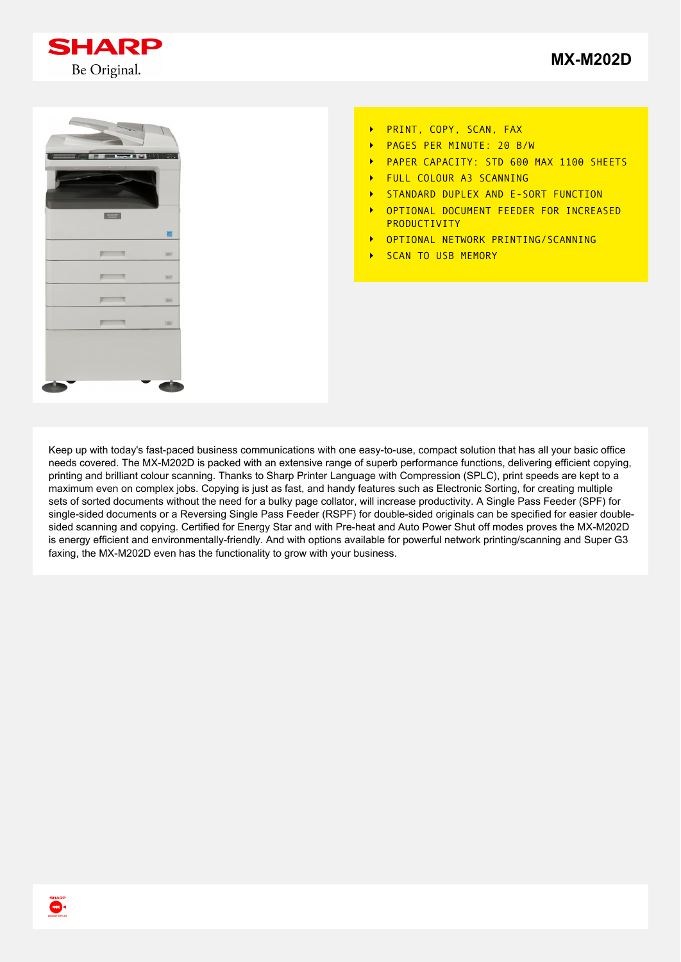





- PRINT, COPY, SCAN, FAX  $\ddot{\phantom{1}}$
- PAGES PER MINUTE: 20 B/W  $\ddot{\phantom{1}}$
- PAPER CAPACITY: STD 600 MAX 1100 SHEETS  $\ddot{\phantom{1}}$
- FULL COLOUR A3 SCANNING  $\overline{\phantom{a}}$
- STANDARD DUPLEX AND E-SORT FUNCTION  $\ddot{\phantom{1}}$
- OPTIONAL DOCUMENT FEEDER FOR INCREASED  $\ddot{\phantom{1}}$ PRODUCTIVITY
- OPTIONAL NETWORK PRINTING/SCANNING  $\ddot{\phantom{1}}$
- SCAN TO USB MEMORY  $\ddot{\phantom{1}}$

Keep up with today's fast-paced business communications with one easy-to-use, compact solution that has all your basic office needs covered. The MX-M202D is packed with an extensive range of superb performance functions, delivering efficient copying, printing and brilliant colour scanning. Thanks to Sharp Printer Language with Compression (SPLC), print speeds are kept to a maximum even on complex jobs. Copying is just as fast, and handy features such as Electronic Sorting, for creating multiple sets of sorted documents without the need for a bulky page collator, will increase productivity. A Single Pass Feeder (SPF) for single-sided documents or a Reversing Single Pass Feeder (RSPF) for double-sided originals can be specified for easier doublesided scanning and copying. Certified for Energy Star and with Pre-heat and Auto Power Shut off modes proves the MX-M202D is energy efficient and environmentally-friendly. And with options available for powerful network printing/scanning and Super G3 faxing, the MX-M202D even has the functionality to grow with your business.